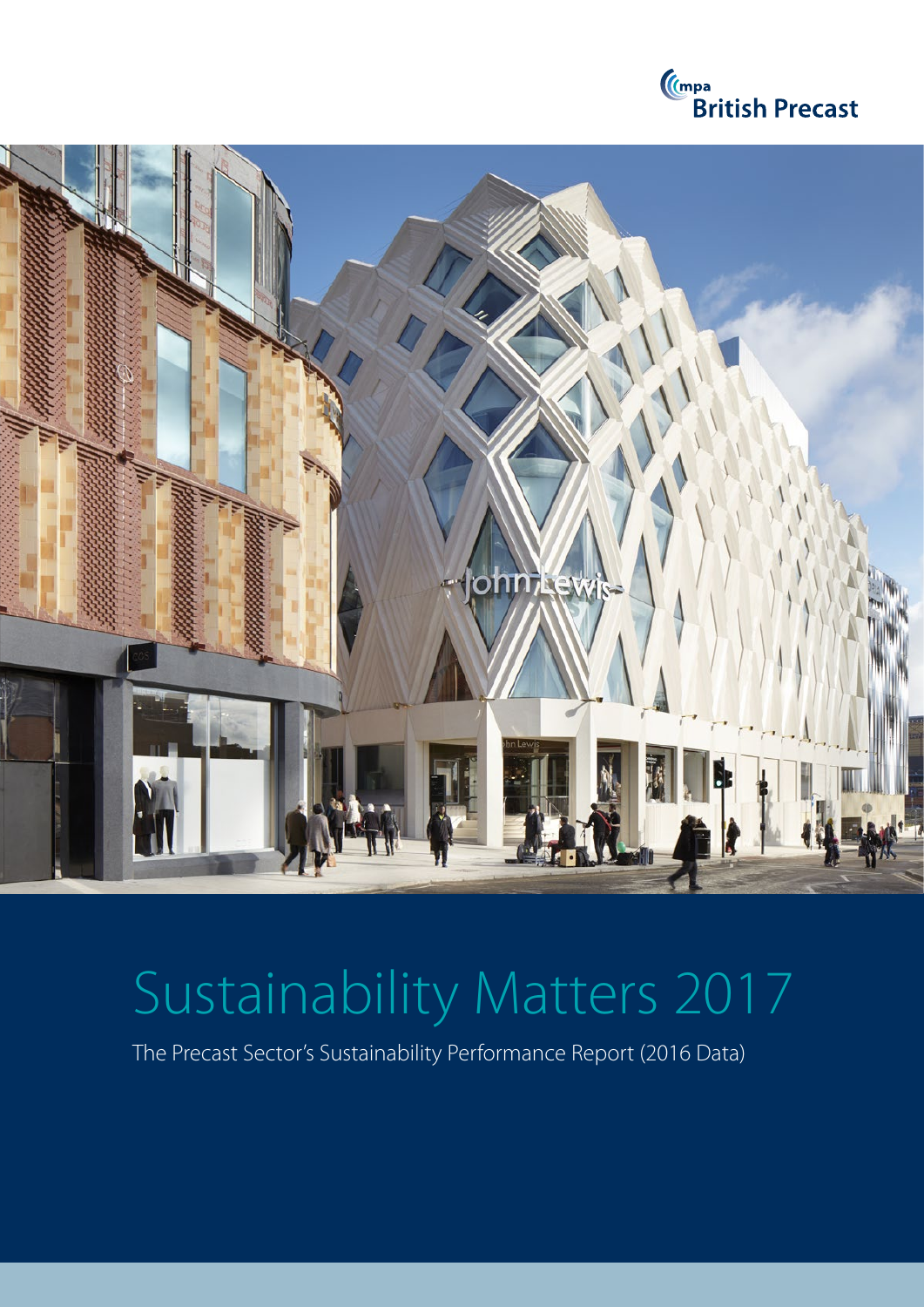



# Sustainability Matters 2017

The Precast Sector's Sustainability Performance Report (2016 Data)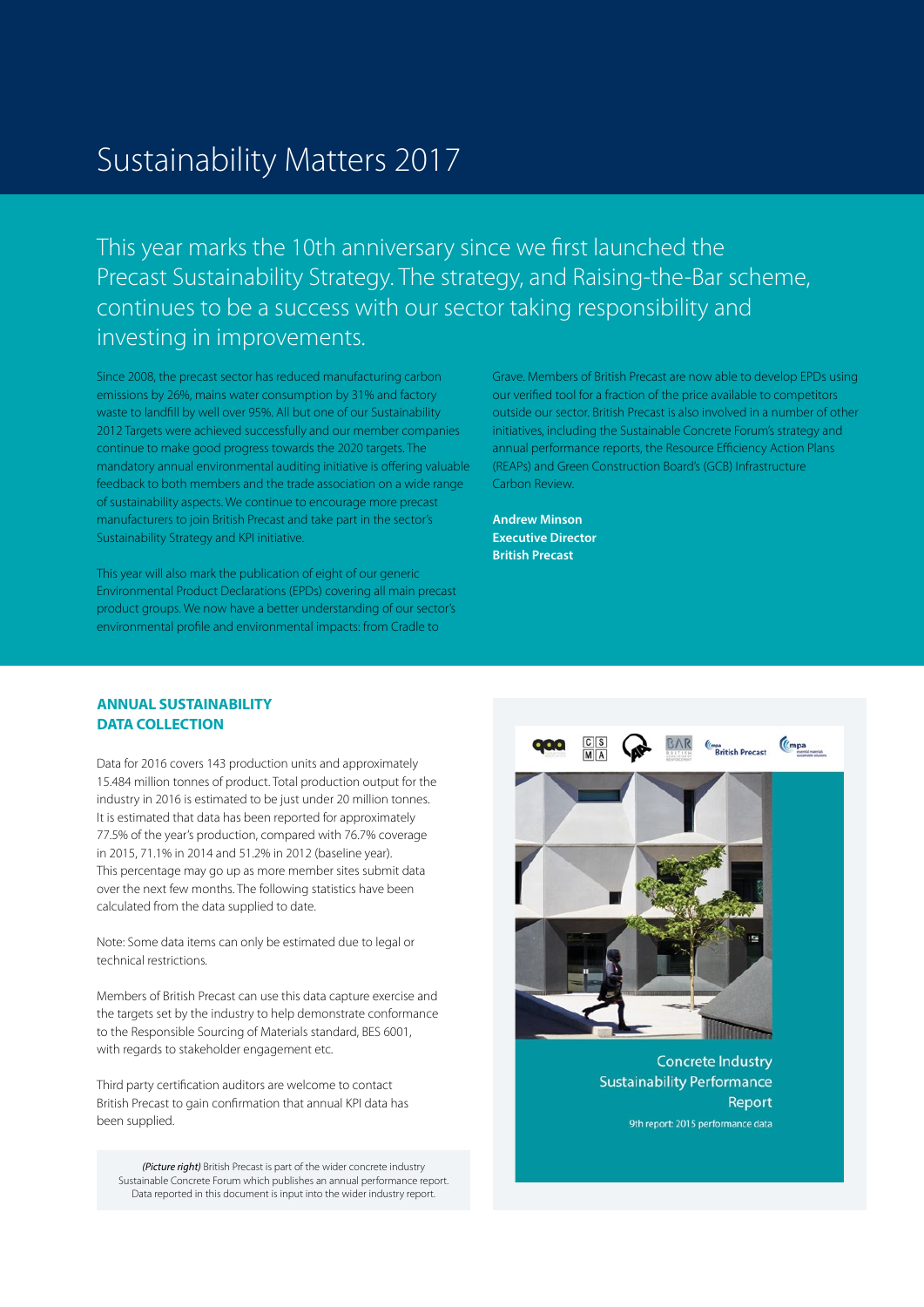# Sustainability Matters 2017

This year marks the 10th anniversary since we first launched the Precast Sustainability Strategy. The strategy, and Raising-the-Bar scheme, continues to be a success with our sector taking responsibility and investing in improvements.

Since 2008, the precast sector has reduced manufacturing carbon emissions by 26%, mains water consumption by 31% and factory waste to landfill by well over 95%. All but one of our Sustainability 2012 Targets were achieved successfully and our member companies continue to make good progress towards the 2020 targets. The mandatory annual environmental auditing initiative is offering valuable feedback to both members and the trade association on a wide range of sustainability aspects. We continue to encourage more precast manufacturers to join British Precast and take part in the sector's Sustainability Strategy and KPI initiative.

This year will also mark the publication of eight of our generic Environmental Product Declarations (EPDs) covering all main precast product groups. We now have a better understanding of our sector's environmental profile and environmental impacts: from Cradle to

Grave. Members of British Precast are now able to develop EPDs using our verified tool for a fraction of the price available to competitors outside our sector. British Precast is also involved in a number of other initiatives, including the Sustainable Concrete Forum's strategy and annual performance reports, the Resource Efficiency Action Plans (REAPs) and Green Construction Board's (GCB) Infrastructure Carbon Review.

**Andrew Minson Executive Director British Precast**

# **ANNUAL SUSTAINABILITY DATA COLLECTION**

Data for 2016 covers 143 production units and approximately 15.484 million tonnes of product. Total production output for the industry in 2016 is estimated to be just under 20 million tonnes. It is estimated that data has been reported for approximately 77.5% of the year's production, compared with 76.7% coverage in 2015, 71.1% in 2014 and 51.2% in 2012 (baseline year). This percentage may go up as more member sites submit data over the next few months. The following statistics have been calculated from the data supplied to date.

Note: Some data items can only be estimated due to legal or technical restrictions.

Members of British Precast can use this data capture exercise and the targets set by the industry to help demonstrate conformance to the Responsible Sourcing of Materials standard, BES 6001, with regards to stakeholder engagement etc.

Third party certification auditors are welcome to contact British Precast to gain confirmation that annual KPI data has been supplied.

*(Picture right)* British Precast is part of the wider concrete industry Sustainable Concrete Forum which publishes an annual performance report. Data reported in this document is input into the wider industry report.



**Sustainability Performance** Report 9th report: 2015 performance data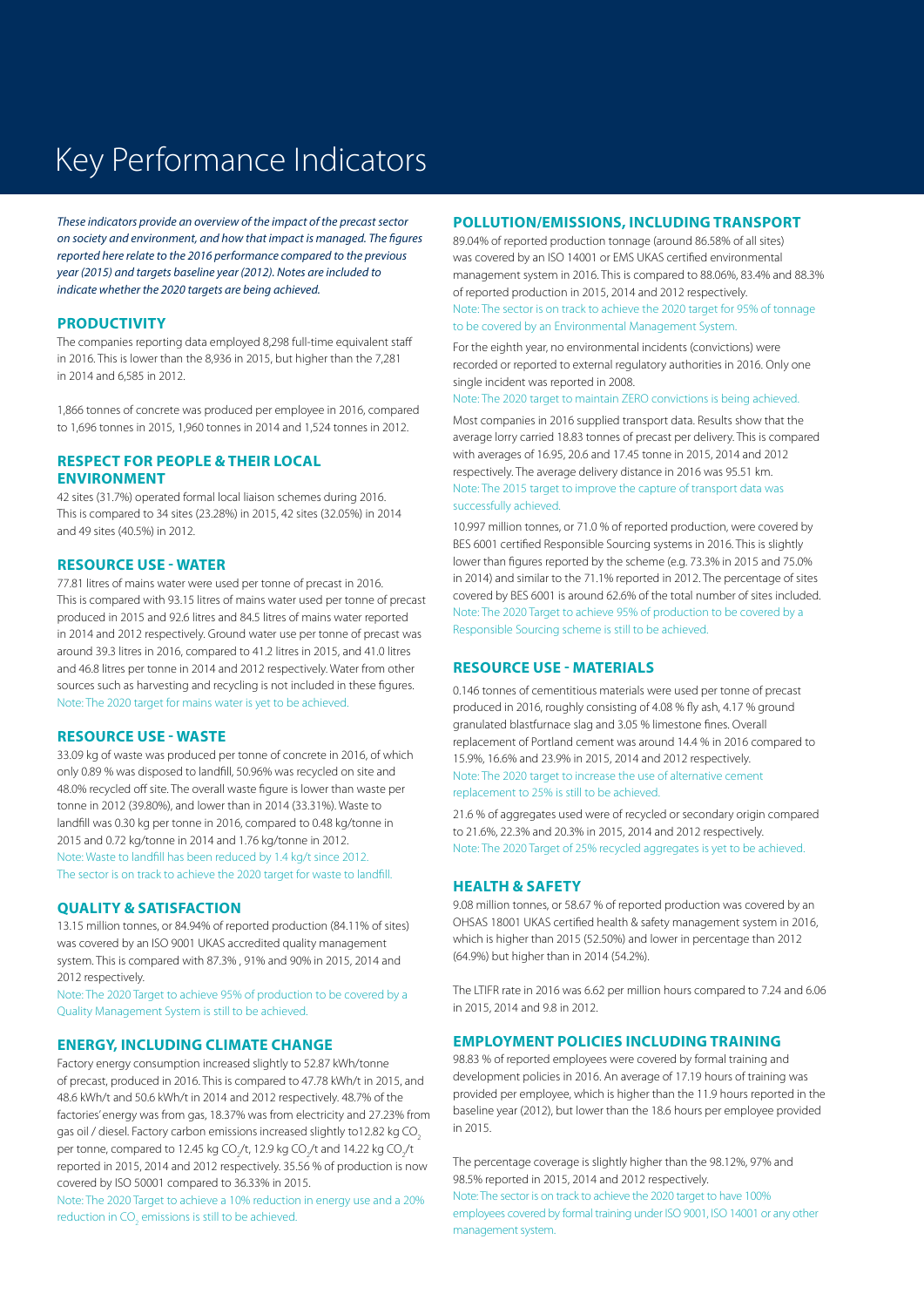# Key Performance Indicators

*These indicators provide an overview of the impact of the precast sector on society and environment, and how that impact is managed. The figures reported here relate to the 2016 performance compared to the previous year (2015) and targets baseline year (2012). Notes are included to indicate whether the 2020 targets are being achieved.*

#### **PRODUCTIVITY**

The companies reporting data employed 8,298 full-time equivalent staff in 2016. This is lower than the 8,936 in 2015, but higher than the 7,281 in 2014 and 6,585 in 2012.

1,866 tonnes of concrete was produced per employee in 2016, compared to 1,696 tonnes in 2015, 1,960 tonnes in 2014 and 1,524 tonnes in 2012.

## **RESPECT FOR PEOPLE & THEIR LOCAL ENVIRONMENT**

42 sites (31.7%) operated formal local liaison schemes during 2016. This is compared to 34 sites (23.28%) in 2015, 42 sites (32.05%) in 2014 and 49 sites (40.5%) in 2012.

#### **RESOURCE USE - WATER**

77.81 litres of mains water were used per tonne of precast in 2016. This is compared with 93.15 litres of mains water used per tonne of precast produced in 2015 and 92.6 litres and 84.5 litres of mains water reported in 2014 and 2012 respectively. Ground water use per tonne of precast was around 39.3 litres in 2016, compared to 41.2 litres in 2015, and 41.0 litres and 46.8 litres per tonne in 2014 and 2012 respectively. Water from other sources such as harvesting and recycling is not included in these figures. Note: The 2020 target for mains water is yet to be achieved.

#### **RESOURCE USE - WASTE**

33.09 kg of waste was produced per tonne of concrete in 2016, of which only 0.89 % was disposed to landfill, 50.96% was recycled on site and 48.0% recycled off site. The overall waste figure is lower than waste per tonne in 2012 (39.80%), and lower than in 2014 (33.31%). Waste to landfill was 0.30 kg per tonne in 2016, compared to 0.48 kg/tonne in 2015 and 0.72 kg/tonne in 2014 and 1.76 kg/tonne in 2012. Note: Waste to landfill has been reduced by 1.4 kg/t since 2012. The sector is on track to achieve the 2020 target for waste to landfill.

### **QUALITY & SATISFACTION**

13.15 million tonnes, or 84.94% of reported production (84.11% of sites) was covered by an ISO 9001 UKAS accredited quality management system. This is compared with 87.3% , 91% and 90% in 2015, 2014 and 2012 respectively.

Note: The 2020 Target to achieve 95% of production to be covered by a Quality Management System is still to be achieved.

### **ENERGY, INCLUDING CLIMATE CHANGE**

Factory energy consumption increased slightly to 52.87 kWh/tonne of precast, produced in 2016. This is compared to 47.78 kWh/t in 2015, and 48.6 kWh/t and 50.6 kWh/t in 2014 and 2012 respectively. 48.7% of the factories' energy was from gas, 18.37% was from electricity and 27.23% from gas oil / diesel. Factory carbon emissions increased slightly to12.82 kg CO2 per tonne, compared to 12.45 kg CO<sub>2</sub>/t, 12.9 kg CO<sub>2</sub>/t and 14.22 kg CO<sub>2</sub>/t reported in 2015, 2014 and 2012 respectively. 35.56 % of production is now covered by ISO 50001 compared to 36.33% in 2015.

Note: The 2020 Target to achieve a 10% reduction in energy use and a 20% reduction in CO $_2$  emissions is still to be achieved.

### **POLLUTION/EMISSIONS, INCLUDING TRANSPORT**

89.04% of reported production tonnage (around 86.58% of all sites) was covered by an ISO 14001 or EMS UKAS certified environmental management system in 2016. This is compared to 88.06%, 83.4% and 88.3% of reported production in 2015, 2014 and 2012 respectively. Note: The sector is on track to achieve the 2020 target for 95% of tonnage to be covered by an Environmental Management System.

For the eighth year, no environmental incidents (convictions) were recorded or reported to external regulatory authorities in 2016. Only one single incident was reported in 2008.

Note: The 2020 target to maintain ZERO convictions is being achieved.

Most companies in 2016 supplied transport data. Results show that the average lorry carried 18.83 tonnes of precast per delivery. This is compared with averages of 16.95, 20.6 and 17.45 tonne in 2015, 2014 and 2012 respectively. The average delivery distance in 2016 was 95.51 km. Note: The 2015 target to improve the capture of transport data was successfully achieved.

10.997 million tonnes, or 71.0 % of reported production, were covered by BES 6001 certified Responsible Sourcing systems in 2016. This is slightly lower than figures reported by the scheme (e.g. 73.3% in 2015 and 75.0% in 2014) and similar to the 71.1% reported in 2012. The percentage of sites covered by BES 6001 is around 62.6% of the total number of sites included. Note: The 2020 Target to achieve 95% of production to be covered by a Responsible Sourcing scheme is still to be achieved.

### **RESOURCE USE - MATERIALS**

0.146 tonnes of cementitious materials were used per tonne of precast produced in 2016, roughly consisting of 4.08 % fly ash, 4.17 % ground granulated blastfurnace slag and 3.05 % limestone fines. Overall replacement of Portland cement was around 14.4 % in 2016 compared to 15.9%, 16.6% and 23.9% in 2015, 2014 and 2012 respectively. Note: The 2020 target to increase the use of alternative cement replacement to 25% is still to be achieved.

21.6 % of aggregates used were of recycled or secondary origin compared to 21.6%, 22.3% and 20.3% in 2015, 2014 and 2012 respectively. Note: The 2020 Target of 25% recycled aggregates is yet to be achieved.

#### **HEALTH & SAFETY**

9.08 million tonnes, or 58.67 % of reported production was covered by an OHSAS 18001 UKAS certified health & safety management system in 2016, which is higher than 2015 (52.50%) and lower in percentage than 2012 (64.9%) but higher than in 2014 (54.2%).

The LTIFR rate in 2016 was 6.62 per million hours compared to 7.24 and 6.06 in 2015, 2014 and 9.8 in 2012.

#### **EMPLOYMENT POLICIES INCLUDING TRAINING**

98.83 % of reported employees were covered by formal training and development policies in 2016. An average of 17.19 hours of training was provided per employee, which is higher than the 11.9 hours reported in the baseline year (2012), but lower than the 18.6 hours per employee provided in 2015.

The percentage coverage is slightly higher than the 98.12%, 97% and 98.5% reported in 2015, 2014 and 2012 respectively.

Note: The sector is on track to achieve the 2020 target to have 100% employees covered by formal training under ISO 9001, ISO 14001 or any other management system.